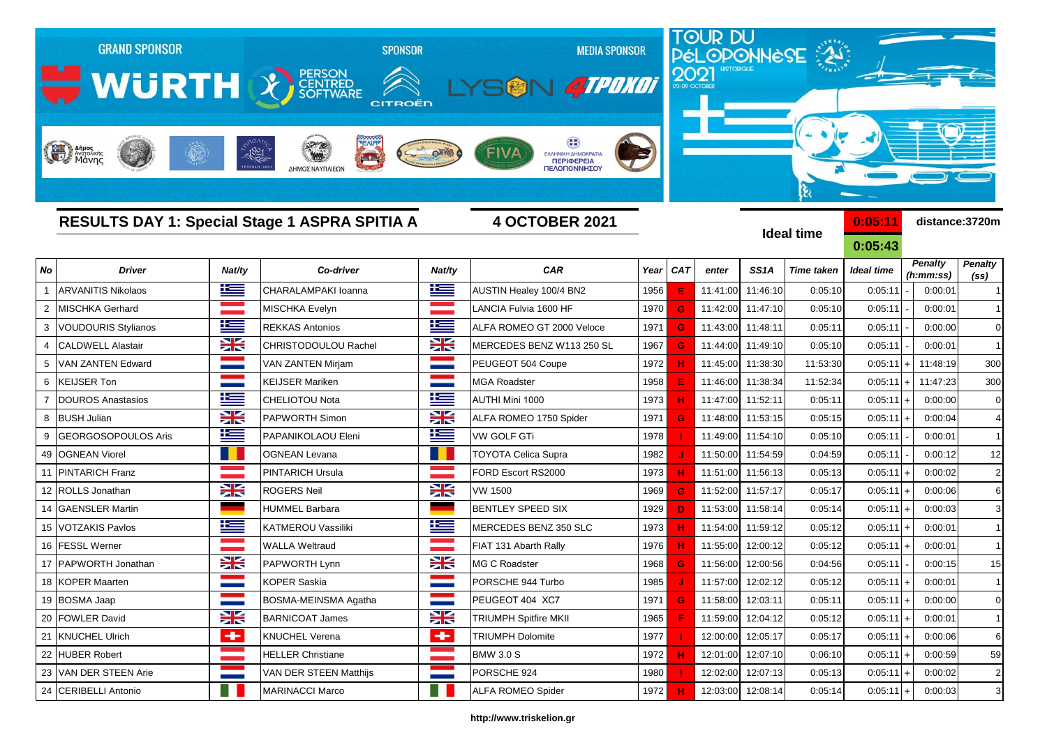|                  | <b>GRAND SPONSOR</b><br>WURTH X SCRIPTING<br>Anjust Andrewing | $-1821$      | <b>SPONSOR</b><br><b>CITROËN</b><br>$\frac{1}{2}$<br>ΔΗΜΟΣ ΝΑΥΠΛΙΕΩΝ |                      | <b>MEDIA SPONSOR</b><br>V <i>ATPOKOT</i><br>$\blacksquare$ $\blacksquare$<br>FIVA<br>ΕΛΛΗΝΙΚΗ ΔΗΜΟΚΡΑΤΙΑ<br><b>ПЕРІФЕРЕІА</b><br>ΠΕΛΟΠΟΝΝΗΣΟΥ |      | 2021 | TOUR DU<br>PÉLOPONNÈSE |                   |                          |                      |                      |                |
|------------------|---------------------------------------------------------------|--------------|----------------------------------------------------------------------|----------------------|-----------------------------------------------------------------------------------------------------------------------------------------------|------|------|------------------------|-------------------|--------------------------|----------------------|----------------------|----------------|
|                  |                                                               |              | <b>RESULTS DAY 1: Special Stage 1 ASPRA SPITIA A</b>                 |                      | <b>4 OCTOBER 2021</b>                                                                                                                         |      |      |                        |                   | ક્ષ<br><b>Ideal time</b> | 0:05:11<br>0:05:43   |                      | distance:3720m |
| No               | <b>Driver</b>                                                 | Nat/ty       | Co-driver                                                            | Nat/ty               | CAR                                                                                                                                           | Year | CAT  | enter                  | SS <sub>1</sub> A | <b>Time taken</b>        | <b>Ideal time</b>    | <b>Penalty</b>       | <b>Penalty</b> |
| $\mathbf{1}$     | <b>ARVANITIS Nikolaos</b>                                     | <u>is </u>   | CHARALAMPAKI Ioanna                                                  | 坚                    | AUSTIN Healey 100/4 BN2                                                                                                                       | 1956 | Е    | 11:41:00               | 11:46:10          | 0:05:10                  | 0:05:11              | (h:mm:ss)<br>0:00:01 | (ss)           |
| 2                | MISCHKA Gerhard                                               |              | MISCHKA Evelyn                                                       |                      | LANCIA Fulvia 1600 HF                                                                                                                         | 1970 | G    | 11:42:00               | 11:47:10          | 0:05:10                  | 0:05:11              | 0:00:01              | $\mathbf{1}$   |
| 3                | <b>VOUDOURIS Stylianos</b>                                    | £            | <b>REKKAS Antonios</b>                                               | E                    | ALFA ROMEO GT 2000 Veloce                                                                                                                     | 1971 | G    | 11:43:00               | 11:48:11          | 0:05:11                  | 0:05:11              | 0:00:00              | $\mathbf 0$    |
| 4                | <b>CALDWELL Alastair</b>                                      | X            | <b>CHRISTODOULOU Rachel</b>                                          | X                    | MERCEDES BENZ W113 250 SL                                                                                                                     | 1967 | G    | 11:44:00               | 11:49:10          | 0:05:10                  | 0:05:11              | 0:00:01              | $\mathbf{1}$   |
|                  | VAN ZANTEN Edward                                             |              | VAN ZANTEN Mirjam                                                    |                      | PEUGEOT 504 Coupe                                                                                                                             | 1972 |      | 11:45:00               | 11:38:30          | 11:53:30                 | 0:05:11              | 11:48:19             | 300            |
| 6                | <b>KEIJSER Ton</b>                                            |              | <b>KEIJSER Mariken</b>                                               |                      | <b>MGA Roadster</b>                                                                                                                           | 1958 | E    | 11:46:00               | 11:38:34          | 11:52:34                 | 0:05:11              | 11:47:23             | 300            |
|                  | <b>DOUROS Anastasios</b>                                      | <u>is </u>   | CHELIOTOU Nota                                                       | <u>ik a</u>          | AUTHI Mini 1000                                                                                                                               | 1973 |      | 11:47:00               | 11:52:11          | 0:05:11                  | 0:05:11              | 0:00:00              | $\pmb{0}$      |
| 8                | <b>BUSH Julian</b>                                            | X            | <b>PAPWORTH Simon</b>                                                | X                    | ALFA ROMEO 1750 Spider                                                                                                                        | 1971 | G    | 11:48:00               | 11:53:15          | 0:05:15                  | 0:05:11              | 0:00:04              | 4              |
| 9                | GEORGOSOPOULOS Aris                                           | 当            | PAPANIKOLAOU Eleni                                                   | <u>is </u>           | VW GOLF GTi                                                                                                                                   | 1978 |      | 11:49:00               | 11:54:10          | 0:05:10                  | 0:05:11              | 0:00:01              | $\mathbf{1}$   |
| 49               | <b>OGNEAN Viorel</b>                                          |              | <b>OGNEAN Levana</b>                                                 |                      | <b>TOYOTA Celica Supra</b>                                                                                                                    | 1982 |      | 11:50:00               | 11:54:59          | 0:04:59                  | 0:05:11              | 0:00:12              | 12             |
| 11               | <b>PINTARICH Franz</b>                                        |              | <b>PINTARICH Ursula</b>                                              |                      | FORD Escort RS2000                                                                                                                            | 1973 | н    | 11:51:00               | 11:56:13          | 0:05:13                  | 0:05:11              | 0:00:02              | $\sqrt{2}$     |
| 12 <sup>12</sup> | <b>ROLLS Jonathan</b>                                         | <b>XK</b>    | <b>ROGERS Neil</b>                                                   | X                    | VW 1500                                                                                                                                       | 1969 | G    | 11:52:00               | 11:57:17          | 0:05:17                  | 0:05:11              | 0:00:06              | 6              |
| 14               | <b>GAENSLER Martin</b>                                        |              | <b>HUMMEL Barbara</b>                                                |                      | <b>BENTLEY SPEED SIX</b>                                                                                                                      | 1929 | D    | 11:53:00               | 11:58:14          | 0:05:14                  | 0:05:11              | 0:00:03              | 3              |
| 15               | <b>VOTZAKIS Pavlos</b>                                        | <u>ik –</u>  | KATMEROU Vassiliki                                                   | $\mathbf{E}$         | MERCEDES BENZ 350 SLC                                                                                                                         | 1973 |      | 11:54:00               | 11:59:12          | 0:05:12                  | 0:05:11              | 0:00:01              |                |
| 16               | <b>FESSL Werner</b>                                           |              | <b>WALLA Weltraud</b>                                                |                      | FIAT 131 Abarth Rally                                                                                                                         | 1976 |      | 11:55:00               | 12:00:12          | 0:05:12                  | 0:05:11              | 0:00:01              |                |
| 17               | PAPWORTH Jonathan                                             | X            | PAPWORTH Lynn                                                        | <b>XK</b>            | <b>MG C Roadster</b>                                                                                                                          | 1968 |      | 11:56:00               | 12:00:56          | 0:04:56                  | 0:05:11              | 0:00:15              | 15             |
| 18               | <b>KOPER Maarten</b>                                          |              | <b>KOPER Saskia</b>                                                  |                      | PORSCHE 944 Turbo                                                                                                                             | 1985 |      | 11:57:00               | 12:02:12          | 0:05:12                  | 0:05:11              | 0:00:01              |                |
|                  | 19 BOSMA Jaap                                                 |              | <b>BOSMA-MEINSMA Agatha</b>                                          | ═                    | PEUGEOT 404 XC7                                                                                                                               | 1971 | G    | 11:58:00               | 12:03:11          | 0:05:11                  | 0:05:11<br>$\ddot{}$ | 0:00:00              | 0              |
|                  | 20 FOWLER David                                               | X            | <b>BARNICOAT James</b>                                               | X                    | <b>TRIUMPH Spitfire MKII</b>                                                                                                                  | 1965 | F    | 11:59:00               | 12:04:12          | 0:05:12                  | 0:05:11              | 0:00:01              | $\mathbf{1}$   |
|                  | 21 KNUCHEL Ulrich                                             | $\leftarrow$ | <b>KNUCHEL Verena</b>                                                | $\blacktriangleleft$ | <b>TRIUMPH Dolomite</b>                                                                                                                       | 1977 |      | 12:00:00               | 12:05:17          | 0:05:17                  | 0:05:11              | 0:00:06              | 6              |
|                  | 22 HUBER Robert                                               |              | <b>HELLER Christiane</b>                                             |                      | <b>BMW 3.0 S</b>                                                                                                                              | 1972 | н    | 12:01:00               | 12:07:10          | 0:06:10                  | 0:05:11              | 0:00:59              | 59             |
|                  | 23 VAN DER STEEN Arie                                         |              | VAN DER STEEN Matthijs                                               |                      | PORSCHE 924                                                                                                                                   | 1980 |      | 12:02:00               | 12:07:13          | 0:05:13                  | 0:05:11              | 0:00:02              | 2              |
|                  | 24 CERIBELLI Antonio                                          |              | <b>MARINACCI Marco</b>                                               |                      | <b>ALFA ROMEO Spider</b>                                                                                                                      | 1972 |      |                        | 12:03:00 12:08:14 | 0:05:14                  | 0:05:11<br>$\ddot{}$ | 0:00:03              | 3              |

## **http://www.triskelion.gr**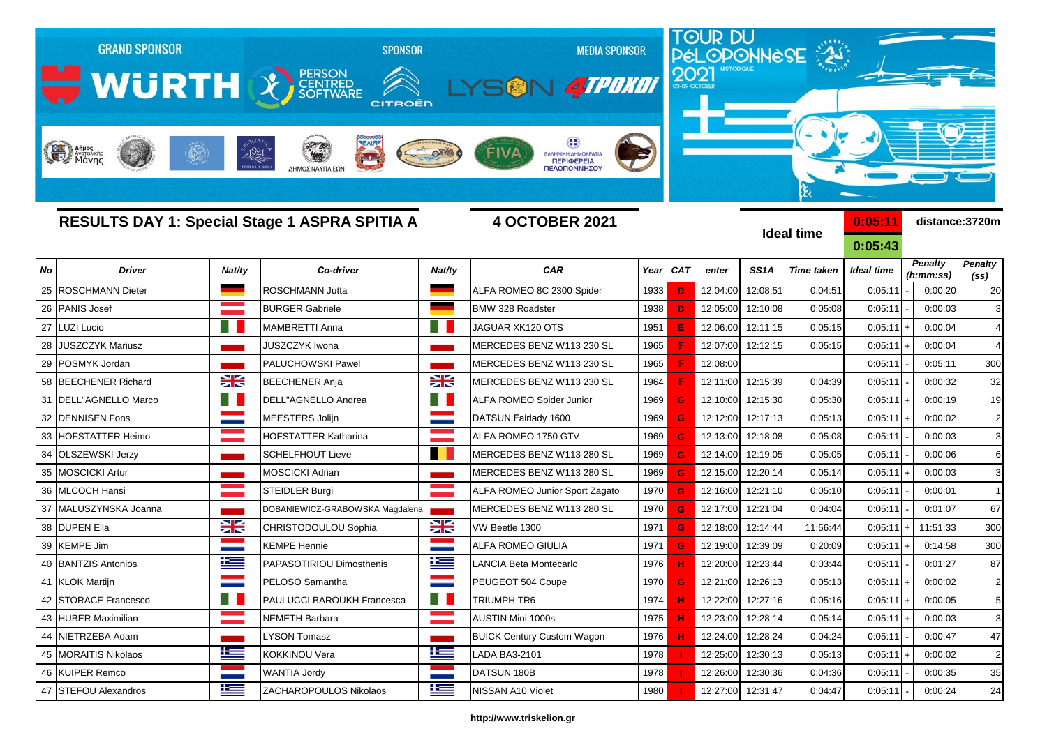|    | <b>GRAND SPONSOR</b><br>WURTH X SCRIPTION<br>Anjues<br>Margolinis |                | <b>SPONSOR</b><br>CITROËN<br>$-1821$<br>$\frac{1}{2}$            |             | <b>MEDIA SPONSOR</b><br>SON 4TPOXOT<br>ΕΛΛΗΝΙΚΗ ΔΗΜΟΚΡΑΤΙ<br><b>ПЕРІФЕРЕІА</b> |      | 2021         | TOUR DU<br>PÉLOPONNÈSE |                   |                   |                    |                      |                |
|----|-------------------------------------------------------------------|----------------|------------------------------------------------------------------|-------------|--------------------------------------------------------------------------------|------|--------------|------------------------|-------------------|-------------------|--------------------|----------------------|----------------|
|    |                                                                   |                | ΔΗΜΟΣ ΝΑΥΠΛΙΕΩΝ<br>RESULTS DAY 1: Special Stage 1 ASPRA SPITIA A |             | ΠΕΛΟΠΟΝΝΗΣΟΥ<br><b>4 OCTOBER 2021</b>                                          |      |              |                        |                   | <b>Ideal time</b> | 0:05:11<br>0:05:43 |                      | distance:3720m |
| No | <b>Driver</b>                                                     | Nat/ty         | Co-driver                                                        | Nat/ty      | <b>CAR</b>                                                                     | Year | <b>CAT</b>   | enter                  | SS <sub>1</sub> A | <b>Time taken</b> | <b>Ideal time</b>  | <b>Penalty</b>       | <b>Penalty</b> |
| 25 | <b>ROSCHMANN Dieter</b>                                           |                | ROSCHMANN Jutta                                                  |             | ALFA ROMEO 8C 2300 Spider                                                      | 1933 | D            | 12:04:00               | 12:08:51          | 0:04:51           | 0:05:11            | (h:mm:ss)<br>0:00:20 | (ss)<br>20     |
| 26 | <b>PANIS Josef</b>                                                |                | <b>BURGER Gabriele</b>                                           |             | <b>BMW 328 Roadster</b>                                                        | 1938 | D            | 12:05:00               | 12:10:08          | 0:05:08           | 0:05:11            | 0:00:03              | 3              |
| 27 | <b>LUZI Lucio</b>                                                 |                | <b>MAMBRETTI Anna</b>                                            |             | JAGUAR XK120 OTS                                                               | 1951 |              | 12:06:00               | 12:11:15          | 0:05:15           | 0:05:11            | 0:00:04              | 4              |
| 28 | <b>JUSZCZYK Mariusz</b>                                           |                | <b>JUSZCZYK Iwona</b>                                            |             | MERCEDES BENZ W113 230 SL                                                      | 1965 |              | 12:07:00               | 12:12:15          | 0:05:15           | 0:05:11            | 0:00:04              | $\overline{4}$ |
| 29 | POSMYK Jordan                                                     |                | PALUCHOWSKI Pawel                                                |             | MERCEDES BENZ W113 230 SL                                                      | 1965 |              | 12:08:00               |                   |                   | 0:05:11            | 0:05:11              | 300            |
| 58 | <b>BEECHENER Richard</b>                                          | X              | <b>BEECHENER Anja</b>                                            | X           | MERCEDES BENZ W113 230 SL                                                      | 1964 |              | 12:11:00               | 12:15:39          | 0:04:39           | 0:05:11            | 0:00:32              | 32             |
| 31 | DELL"AGNELLO Marco                                                | - 1            | DELL"AGNELLO Andrea                                              | E.          | ALFA ROMEO Spider Junior                                                       | 1969 | G            | 12:10:00               | 12:15:30          | 0:05:30           | 0:05:11            | 0:00:19              | 19             |
| 32 | <b>DENNISEN Fons</b>                                              |                | MEESTERS Jolijn                                                  |             | DATSUN Fairlady 1600                                                           | 1969 | G            | 12:12:00               | 12:17:13          | 0:05:13           | 0:05:11            | 0:00:02              | $\overline{2}$ |
| 33 | <b>HOFSTATTER Heimo</b>                                           |                | HOFSTATTER Katharina                                             |             | ALFA ROMEO 1750 GTV                                                            | 1969 | G            | 12:13:00               | 12:18:08          | 0:05:08           | 0:05:11            | 0:00:03              | 3              |
| 34 | <b>OLSZEWSKI Jerzy</b>                                            |                | <b>SCHELFHOUT Lieve</b>                                          |             | MERCEDES BENZ W113 280 SL                                                      | 1969 | G            | 12:14:00               | 12:19:05          | 0:05:05           | 0:05:11            | 0:00:06              | 6              |
| 35 | <b>MOSCICKI Artur</b>                                             |                | <b>MOSCICKI Adrian</b>                                           |             | MERCEDES BENZ W113 280 SL                                                      | 1969 | G            | 12:15:00               | 12:20:14          | 0:05:14           | 0:05:11            | 0:00:03              | 3              |
| 36 | <b>MLCOCH Hansi</b>                                               |                | STEIDLER Burgi                                                   |             | ALFA ROMEO Junior Sport Zagato                                                 | 1970 | G            | 12:16:00               | 12:21:10          | 0:05:10           | 0:05:11            | 0:00:01              | $\mathbf{1}$   |
| 37 | MALUSZYNSKA Joanna                                                |                | DOBANIEWICZ-GRABOWSKA Magdalena                                  |             | MERCEDES BENZ W113 280 SL                                                      | 1970 | G            | 12:17:00               | 12:21:04          | 0:04:04           | 0:05:11            | 0:01:07              | 67             |
| 38 | <b>DUPEN Ella</b>                                                 | X              | CHRISTODOULOU Sophia                                             | XK          | VW Beetle 1300                                                                 | 1971 | G            | 12:18:00               | 12:14:44          | 11:56:44          | 0:05:11            | 11:51:33             | 300            |
| 39 | <b>KEMPE Jim</b>                                                  |                | <b>KEMPE Hennie</b>                                              |             | ALFA ROMEO GIULIA                                                              | 1971 | G            | 12:19:00               | 12:39:09          | 0:20:09           | 0:05:11            | 0:14:58              | 300            |
| 40 | <b>BANTZIS Antonios</b>                                           | $\equiv$       | PAPASOTIRIOU Dimosthenis                                         | <u>ik a</u> | LANCIA Beta Montecarlo                                                         | 1976 |              | 12:20:00               | 12:23:44          | 0:03:44           | 0:05:11            | 0:01:27              | 87             |
|    | 41 KLOK Martijn                                                   |                | PELOSO Samantha                                                  |             | PEUGEOT 504 Coupe                                                              | 1970 | $\mathbf{G}$ | 12:21:00               | 12:26:13          | 0:05:13           | 0:05:11            | 0:00:02              | $\overline{2}$ |
|    | 42 STORACE Francesco                                              | $\blacksquare$ | <b>PAULUCCI BAROUKH Francesca</b>                                | HB.         | <b>TRIUMPH TR6</b>                                                             | 1974 | н            | 12:22:00               | 12:27:16          | 0:05:16           | 0:05:11            | 0:00:05              | 5              |
|    | 43 HUBER Maximilian                                               |                | <b>NEMETH Barbara</b>                                            |             | AUSTIN Mini 1000s                                                              | 1975 | н            | 12:23:00               | 12:28:14          | 0:05:14           | 0:05:11            | 0:00:03              | 3              |
|    | 44 NIETRZEBA Adam                                                 |                | <b>LYSON Tomasz</b>                                              |             | <b>BUICK Century Custom Wagon</b>                                              | 1976 | н            | 12:24:00               | 12:28:24          | 0:04:24           | 0:05:11            | 0:00:47              | 47             |
|    | 45   MORAITIS Nikolaos                                            | <u>k</u>       | KOKKINOU Vera                                                    | <u>ik a</u> | LADA BA3-2101                                                                  | 1978 |              | 12:25:00               | 12:30:13          | 0:05:13           | 0:05:11            | 0:00:02              | $\overline{2}$ |
|    | 46 KUIPER Remco                                                   |                | <b>WANTIA Jordy</b>                                              |             | DATSUN 180B                                                                    | 1978 |              | 12:26:00               | 12:30:36          | 0:04:36           | 0:05:11            | 0:00:35              | 35             |
|    | 47 STEFOU Alexandros                                              | 些              | ZACHAROPOULOS Nikolaos                                           | ≌≡          | NISSAN A10 Violet                                                              | 1980 |              |                        | 12:27:00 12:31:47 | 0:04:47           | 0:05:11            | 0:00:24              | 24             |

## **http://www.triskelion.gr**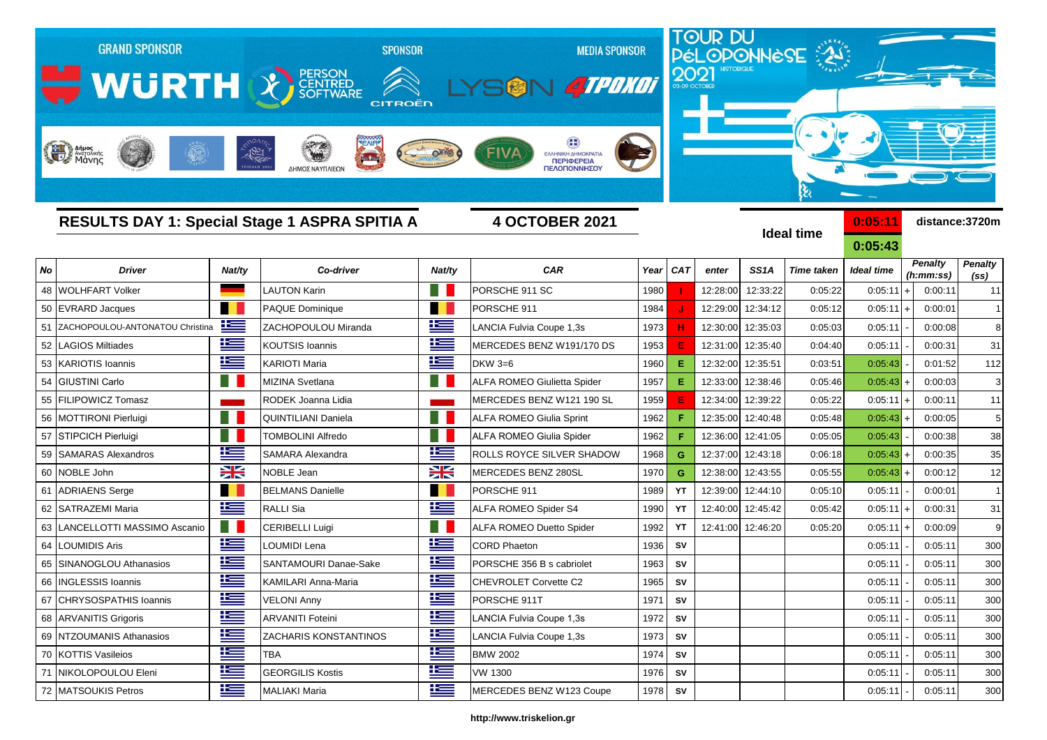|    | <b>GRAND SPONSOR</b><br>WURTH X SCRIPTING<br>Anjust Andrewing | 1821       | <b>SPONSOR</b><br><b>CITROËN</b><br>$\frac{1}{2}$<br>ΔΗΜΟΣ ΝΑΥΠΛΙΕΩΝ |              | <b>MEDIA SPONSOR</b><br><b>ATPONOT</b><br>ΕΛΛΗΝΙΚΗ ΔΗΜΟΚΡΑΤΙΑ<br><b>ПЕРІФЕРЕІА</b><br>ΠΕΛΟΠΟΝΝΗΣΟΥ |      | 2021       | TOUR DU<br>PÉLOPONNESE |                   |                        |                    |                      |                |
|----|---------------------------------------------------------------|------------|----------------------------------------------------------------------|--------------|----------------------------------------------------------------------------------------------------|------|------------|------------------------|-------------------|------------------------|--------------------|----------------------|----------------|
|    |                                                               |            | RESULTS DAY 1: Special Stage 1 ASPRA SPITIA A                        |              | <b>4 OCTOBER 2021</b>                                                                              |      |            |                        |                   | શ<br><b>Ideal time</b> | 0:05:11<br>0:05:43 |                      | distance:3720m |
| No | <b>Driver</b>                                                 | Nat/ty     | Co-driver                                                            | Nat/ty       | <b>CAR</b>                                                                                         | Year | CAT        | enter                  | SS <sub>1</sub> A | <b>Time taken</b>      | <b>Ideal time</b>  | <b>Penalty</b>       | <b>Penalty</b> |
| 48 | WOLHFART Volker                                               |            | <b>LAUTON Karin</b>                                                  | Ħ            | PORSCHE 911 SC                                                                                     | 1980 |            | 12:28:00               | 12:33:22          | 0:05:22                | 0:05:11            | (h:mm:ss)<br>0:00:11 | (ss)<br>11     |
| 50 | <b>EVRARD Jacques</b>                                         |            | PAQUE Dominique                                                      |              | PORSCHE 911                                                                                        | 1984 |            | 12:29:00               | 12:34:12          | 0:05:12                | 0:05:11            | 0:00:01              | $\mathbf{1}$   |
|    | ZACHOPOULOU-ANTONATOU Christina                               | <u>is</u>  | ZACHOPOULOU Miranda                                                  | 兰            | LANCIA Fulvia Coupe 1,3s                                                                           | 1973 | н          | 12:30:00               | 12:35:03          | 0:05:03                | 0:05:11            | 0:00:08              | 8              |
| 52 | <b>LAGIOS Miltiades</b>                                       | <u>is </u> | KOUTSIS Ioannis                                                      | l            | MERCEDES BENZ W191/170 DS                                                                          | 1953 | Е          | 12:31:00               | 12:35:40          | 0:04:40                | 0:05:11            | 0:00:31              | 31             |
| 53 | KARIOTIS Ioannis                                              | £          | <b>KARIOTI Maria</b>                                                 | <u> Kan</u>  | DKW 3=6                                                                                            | 1960 | Е          | 12:32:00               | 12:35:51          | 0:03:51                | 0:05:43            | 0:01:52              | 112            |
| 54 | <b>GIUSTINI Carlo</b>                                         |            | <b>MIZINA Svetlana</b>                                               |              | ALFA ROMEO Giulietta Spider                                                                        | 1957 | Е          | 12:33:00               | 12:38:46          | 0:05:46                | 0:05:43            | 0:00:03              | 3              |
| 55 | <b>FILIPOWICZ Tomasz</b>                                      |            | RODEK Joanna Lidia                                                   |              | MERCEDES BENZ W121 190 SL                                                                          | 1959 |            | 12:34:00               | 12:39:22          | 0:05:22                | 0:05:11            | 0:00:11              | 11             |
| 56 | <b>MOTTIRONI Pierluigi</b>                                    |            | <b>QUINTILIANI Daniela</b>                                           | ٠            | ALFA ROMEO Giulia Sprint                                                                           | 1962 |            | 12:35:00               | 12:40:48          | 0:05:48                | 0:05:43            | 0:00:05              | 5              |
| 57 | <b>STIPCICH Pierluigi</b>                                     |            | TOMBOLINI Alfredo                                                    | ٠            | ALFA ROMEO Giulia Spider                                                                           | 1962 |            | 12:36:00               | 12:41:05          | 0:05:05                | 0:05:43            | 0:00:38              | 38             |
| 59 | <b>SAMARAS Alexandros</b>                                     | £          | SAMARA Alexandra                                                     | ĥ            | ROLLS ROYCE SILVER SHADOW                                                                          | 1968 | G          | 12:37:00               | 12:43:18          | 0:06:18                | 0:05:43            | 0:00:35              | 35             |
| 60 | NOBLE John                                                    | X          | NOBLE Jean                                                           | X            | MERCEDES BENZ 280SL                                                                                | 1970 | G          | 12:38:00               | 12:43:55          | 0:05:55                | 0:05:43            | 0:00:12              | 12             |
| 61 | <b>ADRIAENS Serge</b>                                         |            | <b>BELMANS Danielle</b>                                              |              | PORSCHE 911                                                                                        | 1989 | YT         | 12:39:00               | 12:44:10          | 0:05:10                | 0:05:11            | 0:00:01              | $\mathbf{1}$   |
| 62 | SATRAZEMI Maria                                               | £          | <b>RALLI Sia</b>                                                     | 当            | ALFA ROMEO Spider S4                                                                               | 1990 | YT         | 12:40:00               | 12:45:42          | 0:05:42                | 0:05:11            | 0:00:31              | 31             |
| 63 | LANCELLOTTI MASSIMO Ascanio                                   | m          | <b>CERIBELLI Luigi</b>                                               |              | <b>ALFA ROMEO Duetto Spider</b>                                                                    | 1992 | YT         | 12:41:00               | 12:46:20          | 0:05:20                | 0:05:11            | 0:00:09              | 9              |
| 64 | LOUMIDIS Aris                                                 | Ħ          | OUMIDI Lena                                                          | $\equiv$     | <b>CORD Phaeton</b>                                                                                | 1936 | SV         |                        |                   |                        | 0:05:11            | 0:05:11              | 300            |
| 65 | SINANOGLOU Athanasios                                         | <u>is </u> | SANTAMOURI Danae-Sake                                                | 兰            | PORSCHE 356 B s cabriolet                                                                          | 1963 | SV         |                        |                   |                        | 0:05:11            | 0:05:11              | 300            |
| 66 | <b>INGLESSIS Ioannis</b>                                      | æ          | KAMILARI Anna-Maria                                                  | $\mathbf{r}$ | CHEVROLET Corvette C2                                                                              | 1965 | ${\sf sv}$ |                        |                   |                        | 0:05:11            | 0:05:11              | 300            |
|    | 67 CHRYSOSPATHIS Ioannis                                      | 连          | <b>VELONI Anny</b>                                                   | N            | PORSCHE 911T                                                                                       | 1971 | <b>SV</b>  |                        |                   |                        | 0:05:11            | 0:05:11              | 300            |
|    | 68 ARVANITIS Grigoris                                         | <u>is </u> | <b>ARVANITI Foteini</b>                                              | N            | LANCIA Fulvia Coupe 1,3s                                                                           | 1972 | <b>SV</b>  |                        |                   |                        | 0:05:11            | 0:05:11              | 300            |
|    | 69 NTZOUMANIS Athanasios                                      | Ħ          | <b>ZACHARIS KONSTANTINOS</b>                                         | ١æ           | LANCIA Fulvia Coupe 1,3s                                                                           | 1973 | <b>SV</b>  |                        |                   |                        | 0:05:11            | 0:05:11              | 300            |
|    | 70 KOTTIS Vasileios                                           | Ħ          | <b>TBA</b>                                                           | l            | <b>BMW 2002</b>                                                                                    | 1974 | SV         |                        |                   |                        | 0:05:11            | 0:05:11              | 300            |
|    | 71 NIKOLOPOULOU Eleni                                         | 连          | <b>GEORGILIS Kostis</b>                                              | <u>ies</u>   | <b>VW 1300</b>                                                                                     | 1976 | SV         |                        |                   |                        | 0:05:11            | 0:05:11              | 300            |
|    | 72 MATSOUKIS Petros                                           | 生          | <b>MALIAKI Maria</b>                                                 | ٢            | MERCEDES BENZ W123 Coupe                                                                           | 1978 | <b>SV</b>  |                        |                   |                        | 0:05:11            | 0:05:11              | 300            |

## **http://www.triskelion.gr**